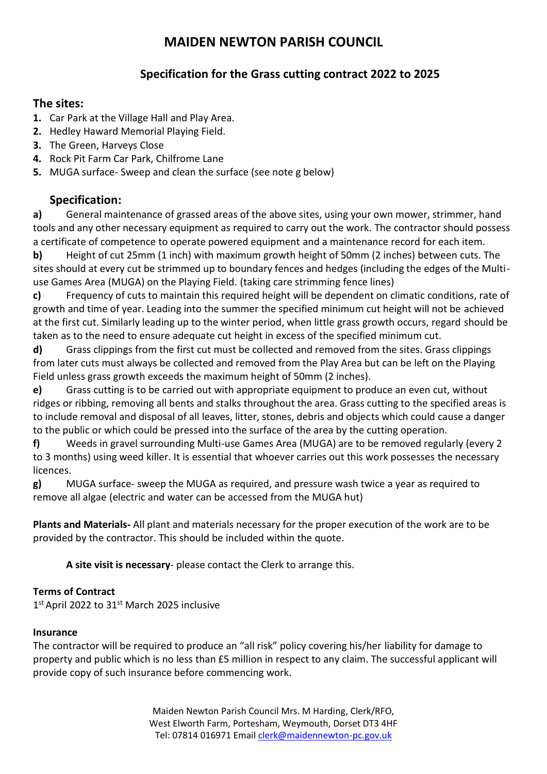## **Specification for the Grass cutting contract 2022 to 2025**

### **The sites:**

- **1.** Car Park at the Village Hall and Play Area.
- **2.** Hedley Haward Memorial Playing Field.
- **3.** The Green, Harveys Close
- **4.** Rock Pit Farm Car Park, Chilfrome Lane
- **5.** MUGA surface- Sweep and clean the surface (see note g below)

## **Specification:**

**a)** General maintenance of grassed areas of the above sites, using your own mower, strimmer, hand tools and any other necessary equipment as required to carry out the work. The contractor should possess a certificate of competence to operate powered equipment and a maintenance record for each item.

**b)** Height of cut 25mm (1 inch) with maximum growth height of 50mm (2 inches) between cuts. The sites should at every cut be strimmed up to boundary fences and hedges (including the edges of the Multiuse Games Area (MUGA) on the Playing Field. (taking care strimming fence lines)

**c)** Frequency of cuts to maintain this required height will be dependent on climatic conditions, rate of growth and time of year. Leading into the summer the specified minimum cut height will not be achieved at the first cut. Similarly leading up to the winter period, when little grass growth occurs, regard should be taken as to the need to ensure adequate cut height in excess of the specified minimum cut.

**d)** Grass clippings from the first cut must be collected and removed from the sites. Grass clippings from later cuts must always be collected and removed from the Play Area but can be left on the Playing Field unless grass growth exceeds the maximum height of 50mm (2 inches).

**e)** Grass cutting is to be carried out with appropriate equipment to produce an even cut, without ridges or ribbing, removing all bents and stalks throughout the area. Grass cutting to the specified areas is to include removal and disposal of all leaves, litter, stones, debris and objects which could cause a danger to the public or which could be pressed into the surface of the area by the cutting operation.

**f)** Weeds in gravel surrounding Multi-use Games Area (MUGA) are to be removed regularly (every 2 to 3 months) using weed killer. It is essential that whoever carries out this work possesses the necessary licences.

**g)** MUGA surface- sweep the MUGA as required, and pressure wash twice a year as required to remove all algae (electric and water can be accessed from the MUGA hut)

**Plants and Materials-** All plant and materials necessary for the proper execution of the work are to be provided by the contractor. This should be included within the quote.

**A site visit is necessary**- please contact the Clerk to arrange this.

### **Terms of Contract**

1<sup>st</sup> April 2022 to 31<sup>st</sup> March 2025 inclusive

### **Insurance**

The contractor will be required to produce an "all risk" policy covering his/her liability for damage to property and public which is no less than £5 million in respect to any claim. The successful applicant will provide copy of such insurance before commencing work.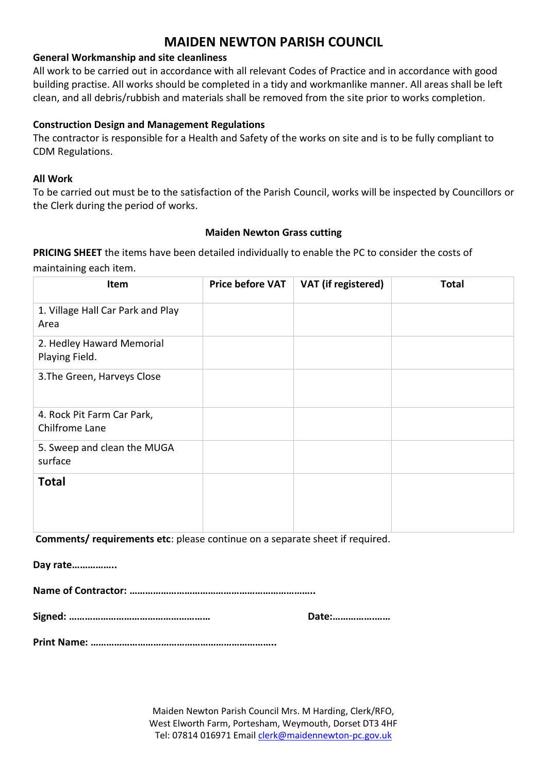### **General Workmanship and site cleanliness**

All work to be carried out in accordance with all relevant Codes of Practice and in accordance with good building practise. All works should be completed in a tidy and workmanlike manner. All areas shall be left clean, and all debris/rubbish and materials shall be removed from the site prior to works completion.

### **Construction Design and Management Regulations**

The contractor is responsible for a Health and Safety of the works on site and is to be fully compliant to CDM Regulations.

### **All Work**

To be carried out must be to the satisfaction of the Parish Council, works will be inspected by Councillors or the Clerk during the period of works.

### **Maiden Newton Grass cutting**

**PRICING SHEET** the items have been detailed individually to enable the PC to consider the costs of maintaining each item.

| Item                                         | <b>Price before VAT</b> | VAT (if registered) | <b>Total</b> |
|----------------------------------------------|-------------------------|---------------------|--------------|
| 1. Village Hall Car Park and Play<br>Area    |                         |                     |              |
| 2. Hedley Haward Memorial<br>Playing Field.  |                         |                     |              |
| 3. The Green, Harveys Close                  |                         |                     |              |
| 4. Rock Pit Farm Car Park,<br>Chilfrome Lane |                         |                     |              |
| 5. Sweep and clean the MUGA<br>surface       |                         |                     |              |
| <b>Total</b>                                 |                         |                     |              |

**Comments/ requirements etc**: please continue on a separate sheet if required.

**Day rate……………..**

**Name of Contractor: ……………………………………………………………..**

**Signed: ……………………………………………… Date:…………….……**

**Print Name: ……………………………………………………………..**

Maiden Newton Parish Council Mrs. M Harding, Clerk/RFO, West Elworth Farm, Portesham, Weymouth, Dorset DT3 4HF Tel: 07814 016971 Email [clerk@maidennewton-pc.gov.uk](mailto:clerk@maidennewton-pc.gov.uk)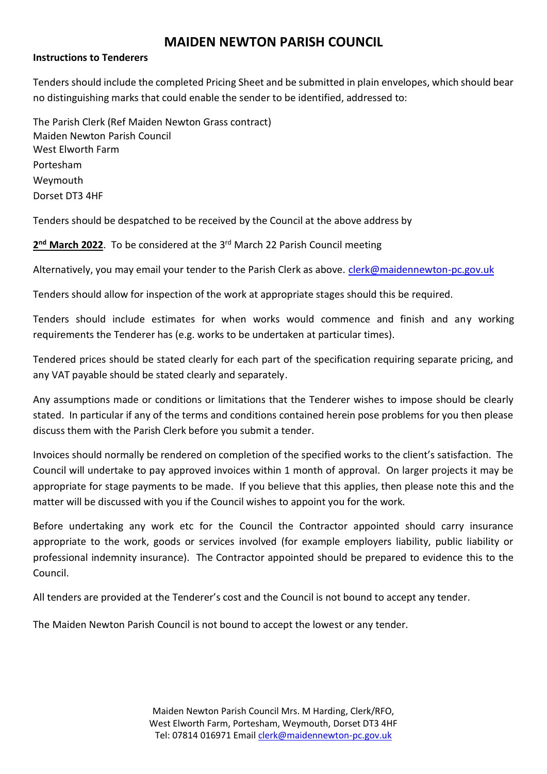### **Instructions to Tenderers**

Tenders should include the completed Pricing Sheet and be submitted in plain envelopes, which should bear no distinguishing marks that could enable the sender to be identified, addressed to:

The Parish Clerk (Ref Maiden Newton Grass contract) Maiden Newton Parish Council West Elworth Farm Portesham Weymouth Dorset DT3 4HF

Tenders should be despatched to be received by the Council at the above address by

### 2<sup>nd</sup> March 2022. To be considered at the 3<sup>rd</sup> March 22 Parish Council meeting

Alternatively, you may email your tender to the Parish Clerk as above. [clerk@maidennewton-pc.gov.uk](mailto:clerk@maidennewton-pc.gov.uk)

Tenders should allow for inspection of the work at appropriate stages should this be required.

Tenders should include estimates for when works would commence and finish and any working requirements the Tenderer has (e.g. works to be undertaken at particular times).

Tendered prices should be stated clearly for each part of the specification requiring separate pricing, and any VAT payable should be stated clearly and separately.

Any assumptions made or conditions or limitations that the Tenderer wishes to impose should be clearly stated. In particular if any of the terms and conditions contained herein pose problems for you then please discuss them with the Parish Clerk before you submit a tender.

Invoices should normally be rendered on completion of the specified works to the client's satisfaction. The Council will undertake to pay approved invoices within 1 month of approval. On larger projects it may be appropriate for stage payments to be made. If you believe that this applies, then please note this and the matter will be discussed with you if the Council wishes to appoint you for the work.

Before undertaking any work etc for the Council the Contractor appointed should carry insurance appropriate to the work, goods or services involved (for example employers liability, public liability or professional indemnity insurance). The Contractor appointed should be prepared to evidence this to the Council.

All tenders are provided at the Tenderer's cost and the Council is not bound to accept any tender.

The Maiden Newton Parish Council is not bound to accept the lowest or any tender.